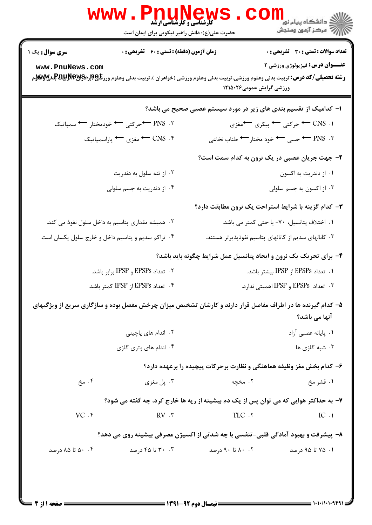| <b>WWW. Phunews</b><br>حضرت علی(ع): دانش راهبر نیکویی برای ایمان است         | لاد دانشگاه پيام نور<br> <br> 7 مرکز آزمون وسنڊش                                                                                                                                                                   |
|------------------------------------------------------------------------------|--------------------------------------------------------------------------------------------------------------------------------------------------------------------------------------------------------------------|
| <b>زمان آزمون (دقیقه) : تستی : 60 ٪ تشریحی : 0</b><br><b>سری سوال :</b> یک ۱ | تعداد سوالات : تستي : 30 - تشريحي : 0                                                                                                                                                                              |
| www.PnuNews.com                                                              | <b>عنـــوان درس:</b> فیزیولوژی ورزشی ۲<br><b>رشته تحصیلی/کد درس:</b> تربیت بدنی وعلوم ورزشی،تربیت بدنی وعلوم ورزشی (خواهران )،تربیت بدنی وعلوم ورز <b>شگی(براپPیپلپاپایتا باشهره</b> م<br>ورزشی گرایش عمومی۱۲۱۵۰۲۶ |
|                                                                              | ا– کدامیک از تقسیم بندی های زیر در مورد سیستم عصبی صحیح می باشد؟                                                                                                                                                   |
| ۲. PNS ← حرکتی ← خودمختار ← سمپاتیک                                          | ۱. CNS ← حرکتبي ← پيکري ←مغزي                                                                                                                                                                                      |
| ۴. CNS ← مغزی ← پاراسمپاتیک                                                  | ۳. PNS ← حسی ← خود مختار ← طناب نخاعی                                                                                                                                                                              |
|                                                                              | ۲- جهت جریان عصبی در یک نرون به کدام سمت است؟                                                                                                                                                                      |
| ۰۲ از تنه سلول به دندریت                                                     | ۰۱ از دندریت به اکسون                                                                                                                                                                                              |
| ۰۴ از دندریت به جسم سلولی                                                    | ۰۳ از اکسون به جسم سلولی                                                                                                                                                                                           |
|                                                                              | ۳- کدام گزینه با شرایط استراحت یک نرون مطابقت دارد؟                                                                                                                                                                |
| ۰۲ همیشه مقداری پتاسیم به داخل سلول نفوذ می کند.                             | ۰۱ اختلاف پتانسیل، ۷۰- یا حتی کمتر می باشد.                                                                                                                                                                        |
| ۰۴ تراکم سدیم و پتاسیم داخل و خارج سلول یکسان است.                           | ۰۳ کانالهای سدیم از کانالهای پتاسیم نفوذپذیرتر هستند.                                                                                                                                                              |
|                                                                              | ۴- برای تحریک یک نرون و ایجاد پتانسیل عمل شرایط چگونه باید باشد؟                                                                                                                                                   |
| ۲ . تعداد EPSPs و IPSP برابر باشد.                                           | ۰۱ تعداد EPSPs از IPSP بیشتر باشد.                                                                                                                                                                                 |
| ۴. تعداد EPSPs از IPSP کمتر باشد.                                            | ۰۳ تعداد EPSPs و IPSP اهمیتی ندارد.                                                                                                                                                                                |
|                                                                              | ۵– کدام گیرنده ها در اطراف مفاصل قرار دارند و کارشان تشخیص میزان چرخش مفصل بوده و سازگاری سریع از ویژگیهای<br>آنها می باشد؟                                                                                        |
| ۰۲ اندام های پاچینی                                                          | ٠١. پايانه عصبي آزاد                                                                                                                                                                                               |
| ۰۴ اندام های وتری گلژی                                                       | ۰۳ شبه گلژی ها                                                                                                                                                                                                     |
|                                                                              | ۶– کدام بخش مغز وظیفه هماهنگی و نظارت برحرکات پیچیده را برعهده دارد؟                                                                                                                                               |
| ۰۴ مخ<br>۰۳ پل مغزی                                                          | ۰۲ مخچه<br>۱. قشر مخ                                                                                                                                                                                               |
|                                                                              | ۷- به حداکثر هوایی که می توان پس از یک دم بیشینه از ریه ها خارج کرد، چه گفته می شود؟                                                                                                                               |
| $VC$ . $f$<br>$RV \cdot r$                                                   | TLC .٢<br>IC.1                                                                                                                                                                                                     |
|                                                                              | ۸– پیشرفت و بهبود آمادگی قلبی-تنفسی با چه شدتی از اکسیژن مصرفی بیشینه روی می دهد؟                                                                                                                                  |
| ۰۳ تا ۴۵ درصد<br>۰۴ ۵۰ تا ۸۵ درصد                                            | ۰۲ تا ۹۰ درصد<br>۰۱ تا ۹۵ درصد                                                                                                                                                                                     |
|                                                                              |                                                                                                                                                                                                                    |
|                                                                              |                                                                                                                                                                                                                    |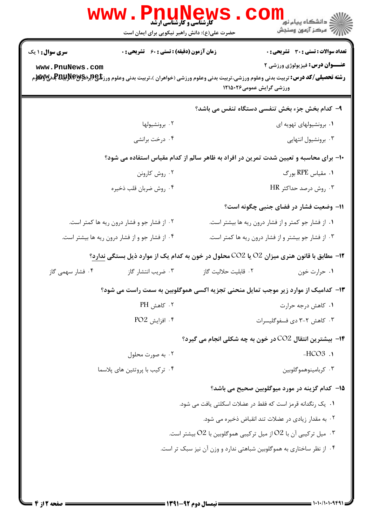|                                                                                                                                                                         | <b>WWW . PIIUNEWS</b><br>حضرت علی(ع): دانش راهبر نیکویی برای ایمان است |                          | ڪ دانشڪاه پيام نور ■<br> 7- مرڪز آزمون وسنڊش                                              |  |
|-------------------------------------------------------------------------------------------------------------------------------------------------------------------------|------------------------------------------------------------------------|--------------------------|-------------------------------------------------------------------------------------------|--|
| <b>سری سوال : ۱ یک</b>                                                                                                                                                  | زمان آزمون (دقیقه) : تستی : 60 ٪ تشریحی : 0                            |                          | <b>تعداد سوالات : تستی : 30 ٪ تشریحی : 0</b>                                              |  |
| www.PnuNews.com<br><b>رشته تحصیلی/کد درس:</b> تربیت بدنی وعلوم ورزشی،تربیت بدنی وعلوم ورزشی (خواهران )،تربیت بدنی وعلوم ورز <b>شگی(ببراپویلپولالپویلوی بو</b> لایی بازی |                                                                        | ورزشی گرایش عمومی۱۲۱۵۰۲۶ | <b>عنـــوان درس:</b> فیزیولوژی ورزشی ۲                                                    |  |
| ۹- کدام بخش جزء بخش تنفسی دستگاه تنفس می باشد؟                                                                                                                          |                                                                        |                          |                                                                                           |  |
|                                                                                                                                                                         | ۰۲ برونشیولها                                                          |                          | ۰۱ برونشیولهای تهویه ای                                                                   |  |
|                                                                                                                                                                         | ۰۴ درخت برانشي                                                         |                          | ۰۳ برونشیول انتهایی                                                                       |  |
| ∙۱− برای محاسبه و تعیین شدت تمرین در افراد به ظاهر سالم از کدام مقیاس استفاده می شود؟                                                                                   |                                                                        |                          |                                                                                           |  |
|                                                                                                                                                                         | ۰۲ روش کارونن                                                          |                          | ۰۱ مقیاس RPE بورگ                                                                         |  |
|                                                                                                                                                                         | ۰۴ روش ضربان قلب ذخيره                                                 |                          | ۰۳ روش درصد حداکثر HR                                                                     |  |
|                                                                                                                                                                         |                                                                        |                          | 1۱– وضعیت فشار در فضای جنبی چگونه است؟                                                    |  |
| ۰۲ از فشار جو و فشار درون ریه ها کمتر است.                                                                                                                              |                                                                        |                          | ۰۱ از فشار جو کمتر و از فشار درون ریه ها بیشتر است.                                       |  |
| ۰۴ از فشار جو و از فشار درون ریه ها بیشتر است.                                                                                                                          |                                                                        |                          | ۰۳ از فشار جو بیشتر و از فشار درون ریه ها کمتر است.                                       |  |
|                                                                                                                                                                         |                                                                        |                          | ۱۲- مطابق با قانون هنری میزان O2 یا CO2 محلول در خون به کدام یک از موارد ذیل بستگی ندارد؟ |  |
| ۰۴ فشار سهمی گاز                                                                                                                                                        | ۰۳ ضریب انتشار گاز                                                     | ٠٢ قابليت حلاليت گاز     | ۰۱ حرارت خون                                                                              |  |
| ۱۳- کدامیک از موارد زیر موجب تمایل منحنی تجزیه اکسی هموگلوبین به سمت راست می شود؟                                                                                       |                                                                        |                          |                                                                                           |  |
|                                                                                                                                                                         | ۰۲ کاهش PH                                                             |                          | ۰۱ کاهش درجه حرارت                                                                        |  |
|                                                                                                                                                                         | $PO2$ افزايش. $\frac{1}{2}$                                            |                          | ۰۳ کاهش ۲-۳ دی فسفوگلیسرات                                                                |  |
|                                                                                                                                                                         |                                                                        |                          | <b>۱۴</b> - بیشترین انتقال CO2 در خون به چه شکلی انجام می گیرد؟                           |  |
|                                                                                                                                                                         | ۰۲ به صورت محلول                                                       |                          | $-HCO3$ .                                                                                 |  |
| ۰۴ ترکیب با پروتئین های پلاسما                                                                                                                                          |                                                                        |                          | ۰۳ کربامینوهموگلوبین                                                                      |  |
|                                                                                                                                                                         |                                                                        |                          | 1۵– کدام گزینه در مورد میوگلوبین صحیح می باشد؟                                            |  |
|                                                                                                                                                                         |                                                                        |                          | ۰۱   یک رنگدانه قرمز است که فقط در عضلات اسکلتی یافت می شود.                              |  |
|                                                                                                                                                                         |                                                                        |                          | ۰۲ به مقدار زیادی در عضلات تند انقباض ذخیره می شود.                                       |  |
|                                                                                                                                                                         |                                                                        |                          | ۰۳ میل ترکیبی آن با O2 از میل ترکیبی هموگلوبین با O2 بیشتر است. $\,$                      |  |
|                                                                                                                                                                         |                                                                        |                          | ۰۴ از نظر ساختاری به هموگلوبین شباهتی ندارد و وزن آن نیز سبک تر است.                      |  |
|                                                                                                                                                                         |                                                                        |                          |                                                                                           |  |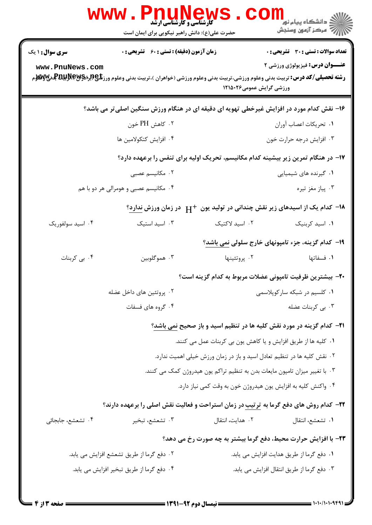|                                                                                          | <b>کارشناسی و کارشناسی ارشد</b><br>حضرت علی(ع): دانش راهبر نیکویی برای ایمان است                     |                          | $\ge$ دانشگاه پیام نو <mark>ر</mark><br>أآه مرکز آزمون وسنجش                          |  |  |
|------------------------------------------------------------------------------------------|------------------------------------------------------------------------------------------------------|--------------------------|---------------------------------------------------------------------------------------|--|--|
| <b>سری سوال : ۱ یک</b>                                                                   | <b>زمان آزمون (دقیقه) : تستی : 60 ٪ تشریحی : 0</b>                                                   |                          | <b>تعداد سوالات : تستی : 30 ٪ تشریحی : 0</b>                                          |  |  |
| www.PnuNews.com                                                                          |                                                                                                      | ورزشی گرایش عمومی۱۲۱۵۰۲۶ | <b>عنـــوان درس:</b> فیزیولوژی ورزشی ۲                                                |  |  |
| ۱۶- نقش کدام مورد در افزایش غیرخطی تهویه ای دقیقه ای در هنگام ورزش سنگین اصلیتر می باشد؟ |                                                                                                      |                          |                                                                                       |  |  |
|                                                                                          | ۰۲ کاهش PH خون                                                                                       |                          | ٠١ تحريكات اعصاب أوران                                                                |  |  |
|                                                                                          | ۰۴ افزایش کتکولامین ها                                                                               |                          | ۰۳ افزایش درجه حرارت خون                                                              |  |  |
|                                                                                          | ۱۷– در هنگام تمرین زیر بیشینه کدام مکانیسم، تحریک اولیه برای تنفس را برعهده دارد؟                    |                          |                                                                                       |  |  |
|                                                                                          | ۰۲ مکانیسم عصبی                                                                                      |                          | ۰۱ گیرنده های شیمیایی                                                                 |  |  |
|                                                                                          | ۰۴ مکانیسم عصبی و هومرالی هر دو با هم                                                                |                          | ۰۳ پیاز مغز تیره                                                                      |  |  |
| ۱۸− کدام یک از اسیدهای زیر نقش چندانی در تولید یون +H در زمان ورزش ندارد؟                |                                                                                                      |                          |                                                                                       |  |  |
| ۰۴ اسید سولفوریک                                                                         | ۰۳ اسید استیک                                                                                        | ۰۲ اسید لاکتیک           | ٠١. اسيد كربنيك                                                                       |  |  |
|                                                                                          | ۱۹- کدام گزینه، جزء تامپونهای خارج سلولی نمی باشد؟                                                   |                          |                                                                                       |  |  |
| ۰۴ بی کربنات                                                                             | ۰۳ هموگلوبين                                                                                         | ۰۲ پروتئينها             | ٠١ فسفاتها                                                                            |  |  |
|                                                                                          | +٢- بيشترين ظرفيت تامپوني عضلات مربوط به كدام گزينه است؟                                             |                          |                                                                                       |  |  |
|                                                                                          | ۰۲ پروتئین های داخل عضله                                                                             |                          | ۰۱ کلسیم در شبکه سارکوپلاسمی                                                          |  |  |
|                                                                                          | ۰۴ گروه های فسفات                                                                                    |                          | ۰۳ بی کربنات عضله                                                                     |  |  |
|                                                                                          |                                                                                                      |                          | <b>۳۱</b> – کدام گزینه در مورد نقش کلیه ها در تنظیم اسید و باز صحیح <u>نمی باشد</u> ؟ |  |  |
|                                                                                          |                                                                                                      |                          | ۰۱ كليه ها از طريق افزايش و يا كاهش يون بي كربنات عمل مي كنند.                        |  |  |
| ۰۲ نقش کلیه ها در تنظیم تعادل اسید و باز در زمان ورزش خیلی اهمیت ندارد.                  |                                                                                                      |                          |                                                                                       |  |  |
| ۰۳ با تغییر میزان تامپون مایعات بدن به تنظیم تراکم یون هیدروژن کمک می کنند.              |                                                                                                      |                          |                                                                                       |  |  |
| ۰۴ واکنش کلیه به افزایش یون هیدروژن خون به وقت کمی نیاز دارد.                            |                                                                                                      |                          |                                                                                       |  |  |
|                                                                                          | <b>۲۲</b> – کدام روش های دفع گرما به <u>ترتیب</u> در زمان استراحت و فعالیت نقش اصلی را برعهده دارند؟ |                          |                                                                                       |  |  |
| ۰۴ تشعشع، جابجائی                                                                        | ۰۳ تشعشع، تبخير                                                                                      | ٠٢ هدايت، انتقال         | ٠١ تشعشع، انتقال                                                                      |  |  |
|                                                                                          |                                                                                                      |                          | ۲۳- با افزایش حرارت محیط، دفع گرما بیشتر به چه صورت رخ می دهد؟                        |  |  |
|                                                                                          | ۰۲ دفع گرما از طریق تشعشع افزایش می یابد.                                                            |                          | ٠١ دفع گرما از طريق هدايت افزايش مي يابد.                                             |  |  |
|                                                                                          | ۰۴ دفع گرما از طريق تبخير افزايش مي يابد.                                                            |                          | ۰۳ دفع گرما از طریق انتقال افزایش می یابد.                                            |  |  |
|                                                                                          |                                                                                                      |                          |                                                                                       |  |  |